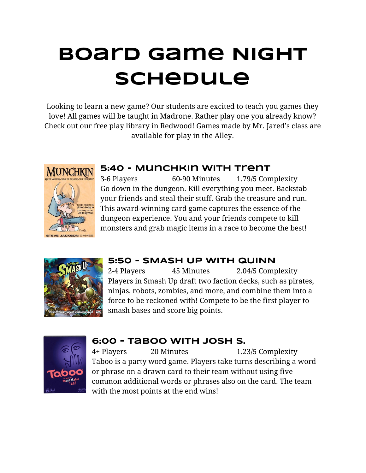# **Board Game Night Schedule**

Looking to learn a new game? Our students are excited to teach you games they love! All games will be taught in Madrone. Rather play one you already know? Check out our free play library in Redwood! Games made by Mr. Jared's class are available for play in the Alley.



#### **5:40 - Munchkin with trent**

3-6 Players 60-90 Minutes 1.79/5 Complexity Go down in the dungeon. Kill everything you meet. Backstab your friends and steal their stuff. Grab the treasure and run. This award-winning card game captures the essence of the dungeon experience. You and your friends compete to kill monsters and grab magic items in a race to become the best!



## **5:50 - SMASH UP WITH QUINN**

45 Minutes 2.04/5 Complexity Players in Smash Up draft two faction decks, such as pirates, ninjas, robots, zombies, and more, and combine them into a force to be reckoned with! Compete to be the first player to smash bases and score big points.



### **6:00 - Taboo with josh s.**

20 Minutes 1.23/5 Complexity Taboo is a party word game. Players take turns describing a word or phrase on a drawn card to their team without using five common additional words or phrases also on the card. The team with the most points at the end wins!